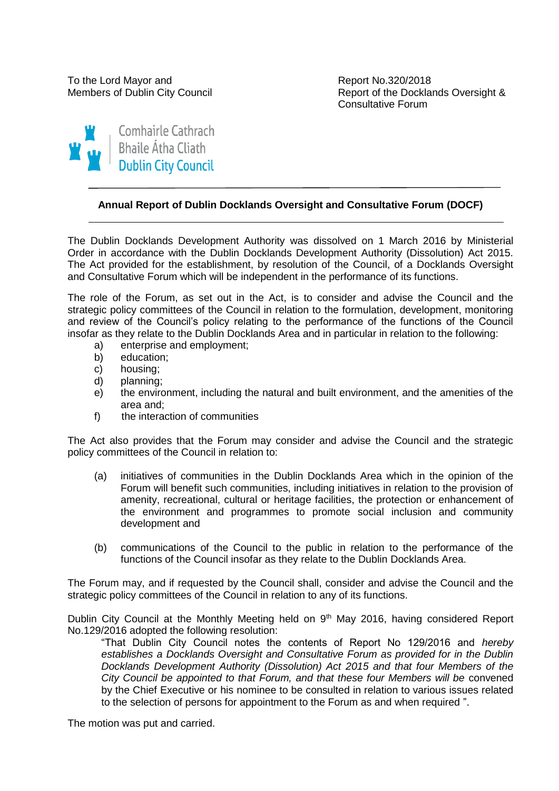To the Lord Mayor and To the Lord Mayor and Report No.320/2018

Members of Dublin City Council **Report of the Docklands Oversight &** Consultative Forum



# **Annual Report of Dublin Docklands Oversight and Consultative Forum (DOCF)**

The Dublin Docklands Development Authority was dissolved on 1 March 2016 by Ministerial Order in accordance with the Dublin Docklands Development Authority (Dissolution) Act 2015. The Act provided for the establishment, by resolution of the Council, of a Docklands Oversight and Consultative Forum which will be independent in the performance of its functions.

The role of the Forum, as set out in the Act, is to consider and advise the Council and the strategic policy committees of the Council in relation to the formulation, development, monitoring and review of the Council's policy relating to the performance of the functions of the Council insofar as they relate to the Dublin Docklands Area and in particular in relation to the following:

- a) enterprise and employment;
- b) education;
- c) housing;
- d) planning;
- e) the environment, including the natural and built environment, and the amenities of the area and;
- f) the interaction of communities

The Act also provides that the Forum may consider and advise the Council and the strategic policy committees of the Council in relation to:

- (a) initiatives of communities in the Dublin Docklands Area which in the opinion of the Forum will benefit such communities, including initiatives in relation to the provision of amenity, recreational, cultural or heritage facilities, the protection or enhancement of the environment and programmes to promote social inclusion and community development and
- (b) communications of the Council to the public in relation to the performance of the functions of the Council insofar as they relate to the Dublin Docklands Area.

The Forum may, and if requested by the Council shall, consider and advise the Council and the strategic policy committees of the Council in relation to any of its functions.

Dublin City Council at the Monthly Meeting held on 9<sup>th</sup> May 2016, having considered Report No.129/2016 adopted the following resolution:

"That Dublin City Council notes the contents of Report No 129/2016 and *hereby establishes a Docklands Oversight and Consultative Forum as provided for in the Dublin Docklands Development Authority (Dissolution) Act 2015 and that four Members of the City Council be appointed to that Forum, and that these four Members will be* convened by the Chief Executive or his nominee to be consulted in relation to various issues related to the selection of persons for appointment to the Forum as and when required ".

The motion was put and carried.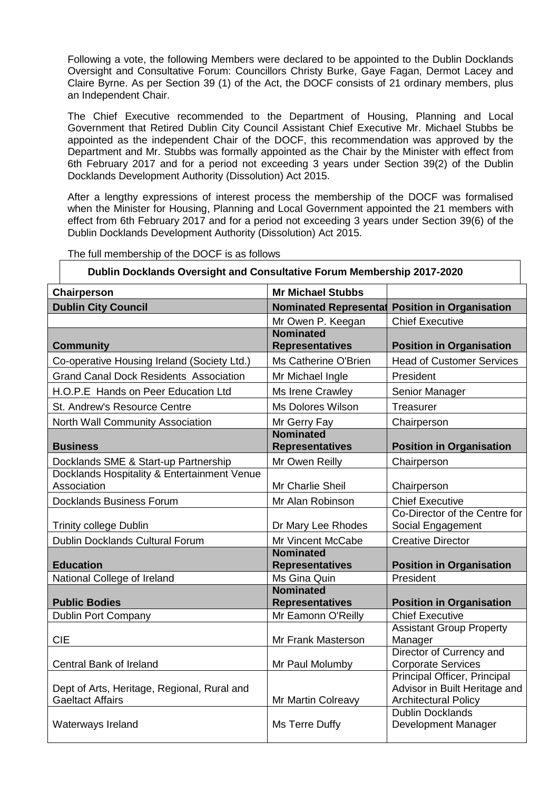Following a vote, the following Members were declared to be appointed to the Dublin Docklands Oversight and Consultative Forum: Councillors Christy Burke, Gaye Fagan, Dermot Lacey and Claire Byrne. As per Section 39 (1) of the Act, the DOCF consists of 21 ordinary members, plus an Independent Chair.

The Chief Executive recommended to the Department of Housing, Planning and Local Government that Retired Dublin City Council Assistant Chief Executive Mr. Michael Stubbs be appointed as the independent Chair of the DOCF, this recommendation was approved by the Department and Mr. Stubbs was formally appointed as the Chair by the Minister with effect from 6th February 2017 and for a period not exceeding 3 years under Section 39(2) of the Dublin Docklands Development Authority (Dissolution) Act 2015.

After a lengthy expressions of interest process the membership of the DOCF was formalised when the Minister for Housing, Planning and Local Government appointed the 21 members with effect from 6th February 2017 and for a period not exceeding 3 years under Section 39(6) of the Dublin Docklands Development Authority (Dissolution) Act 2015.

| Dublin Docklands Oversight and Consultative Forum Membership 2017-2020 |                                            |                                                                                              |  |  |
|------------------------------------------------------------------------|--------------------------------------------|----------------------------------------------------------------------------------------------|--|--|
| Chairperson                                                            | <b>Mr Michael Stubbs</b>                   |                                                                                              |  |  |
| <b>Dublin City Council</b>                                             | <b>Nominated Represental</b>               | <b>Position in Organisation</b>                                                              |  |  |
|                                                                        | Mr Owen P. Keegan                          | <b>Chief Executive</b>                                                                       |  |  |
| <b>Community</b>                                                       | <b>Nominated</b><br><b>Representatives</b> | <b>Position in Organisation</b>                                                              |  |  |
| Co-operative Housing Ireland (Society Ltd.)                            | Ms Catherine O'Brien                       | <b>Head of Customer Services</b>                                                             |  |  |
| <b>Grand Canal Dock Residents Association</b>                          | Mr Michael Ingle                           | President                                                                                    |  |  |
| H.O.P.E Hands on Peer Education Ltd                                    | Ms Irene Crawley                           | Senior Manager                                                                               |  |  |
| <b>St. Andrew's Resource Centre</b>                                    | <b>Ms Dolores Wilson</b>                   | Treasurer                                                                                    |  |  |
| North Wall Community Association                                       | Mr Gerry Fay                               | Chairperson                                                                                  |  |  |
| <b>Business</b>                                                        | <b>Nominated</b><br><b>Representatives</b> | <b>Position in Organisation</b>                                                              |  |  |
| Docklands SME & Start-up Partnership                                   | Mr Owen Reilly                             | Chairperson                                                                                  |  |  |
| Docklands Hospitality & Entertainment Venue<br>Association             | Mr Charlie Sheil                           | Chairperson                                                                                  |  |  |
| <b>Docklands Business Forum</b>                                        | Mr Alan Robinson                           | <b>Chief Executive</b>                                                                       |  |  |
| <b>Trinity college Dublin</b>                                          | Dr Mary Lee Rhodes                         | Co-Director of the Centre for<br>Social Engagement                                           |  |  |
| Dublin Docklands Cultural Forum                                        | Mr Vincent McCabe                          | <b>Creative Director</b>                                                                     |  |  |
| <b>Education</b>                                                       | <b>Nominated</b><br><b>Representatives</b> | <b>Position in Organisation</b>                                                              |  |  |
| National College of Ireland                                            | Ms Gina Quin                               | President                                                                                    |  |  |
| <b>Public Bodies</b>                                                   | <b>Nominated</b><br><b>Representatives</b> | <b>Position in Organisation</b>                                                              |  |  |
| <b>Dublin Port Company</b>                                             | Mr Eamonn O'Reilly                         | <b>Chief Executive</b>                                                                       |  |  |
| <b>CIE</b>                                                             | Mr Frank Masterson                         | <b>Assistant Group Property</b><br>Manager                                                   |  |  |
| <b>Central Bank of Ireland</b>                                         | Mr Paul Molumby                            | Director of Currency and<br><b>Corporate Services</b>                                        |  |  |
| Dept of Arts, Heritage, Regional, Rural and<br><b>Gaeltact Affairs</b> | Mr Martin Colreavy                         | Principal Officer, Principal<br>Advisor in Built Heritage and<br><b>Architectural Policy</b> |  |  |
| Waterways Ireland                                                      | Ms Terre Duffy                             | <b>Dublin Docklands</b><br>Development Manager                                               |  |  |

The full membership of the DOCF is as follows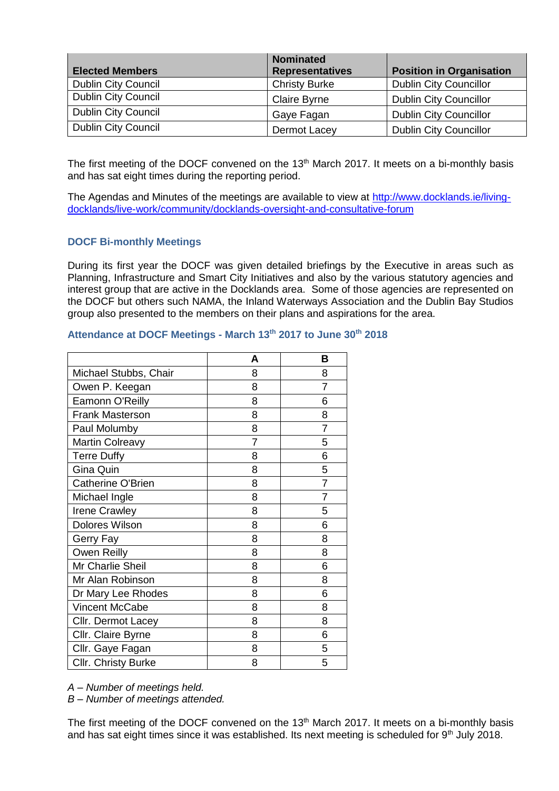| <b>Elected Members</b>     | <b>Nominated</b><br><b>Representatives</b> | <b>Position in Organisation</b> |
|----------------------------|--------------------------------------------|---------------------------------|
| <b>Dublin City Council</b> | <b>Christy Burke</b>                       | <b>Dublin City Councillor</b>   |
| <b>Dublin City Council</b> | <b>Claire Byrne</b>                        | <b>Dublin City Councillor</b>   |
| <b>Dublin City Council</b> | Gaye Fagan                                 | <b>Dublin City Councillor</b>   |
| <b>Dublin City Council</b> | Dermot Lacey                               | <b>Dublin City Councillor</b>   |

The first meeting of the DOCF convened on the 13<sup>th</sup> March 2017. It meets on a bi-monthly basis and has sat eight times during the reporting period.

The Agendas and Minutes of the meetings are available to view at [http://www.docklands.ie/living](http://www.docklands.ie/living-docklands/live-work/community/docklands-oversight-and-consultative-forum)[docklands/live-work/community/docklands-oversight-and-consultative-forum](http://www.docklands.ie/living-docklands/live-work/community/docklands-oversight-and-consultative-forum)

## **DOCF Bi-monthly Meetings**

During its first year the DOCF was given detailed briefings by the Executive in areas such as Planning, Infrastructure and Smart City Initiatives and also by the various statutory agencies and interest group that are active in the Docklands area. Some of those agencies are represented on the DOCF but others such NAMA, the Inland Waterways Association and the Dublin Bay Studios group also presented to the members on their plans and aspirations for the area.

|                        | А | в              |
|------------------------|---|----------------|
| Michael Stubbs, Chair  | 8 | 8              |
| Owen P. Keegan         | 8 | $\overline{7}$ |
| Eamonn O'Reilly        | 8 | 6              |
| <b>Frank Masterson</b> | 8 | 8              |
| Paul Molumby           | 8 | $\overline{7}$ |
| <b>Martin Colreavy</b> | 7 | 5              |
| <b>Terre Duffy</b>     | 8 | 6              |
| Gina Quin              | 8 | 5              |
| Catherine O'Brien      | 8 | $\overline{7}$ |
| Michael Ingle          | 8 | $\overline{7}$ |
| <b>Irene Crawley</b>   | 8 | 5              |
| <b>Dolores Wilson</b>  | 8 | 6              |
| Gerry Fay              | 8 | 8              |
| Owen Reilly            | 8 | 8              |
| Mr Charlie Sheil       | 8 | 6              |
| Mr Alan Robinson       | 8 | 8              |
| Dr Mary Lee Rhodes     | 8 | 6              |
| Vincent McCabe         | 8 | 8              |
| Cllr. Dermot Lacey     | 8 | 8              |
| Cllr. Claire Byrne     | 8 | 6              |
| Cllr. Gaye Fagan       | 8 | 5              |
| Cllr. Christy Burke    | 8 | 5              |

#### **Attendance at DOCF Meetings - March 13th 2017 to June 30th 2018**

*A – Number of meetings held.* 

*B – Number of meetings attended.*

The first meeting of the DOCF convened on the 13<sup>th</sup> March 2017. It meets on a bi-monthly basis and has sat eight times since it was established. Its next meeting is scheduled for 9<sup>th</sup> July 2018.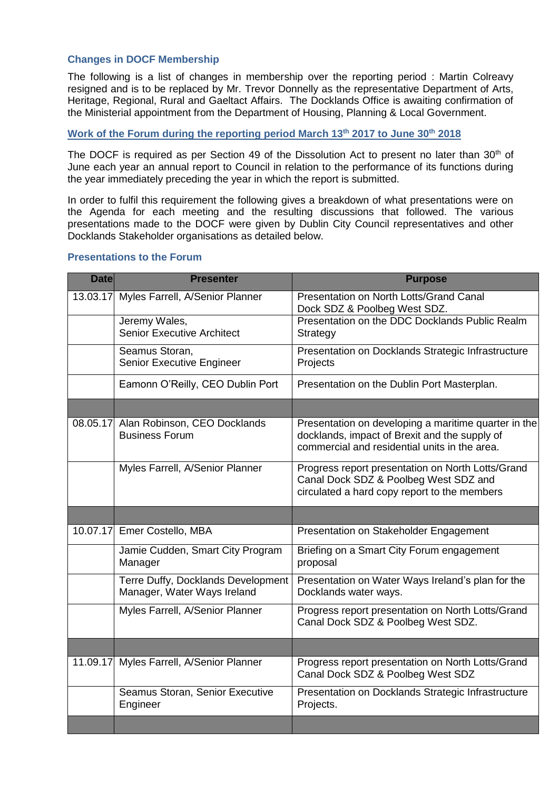# **Changes in DOCF Membership**

The following is a list of changes in membership over the reporting period : Martin Colreavy resigned and is to be replaced by Mr. Trevor Donnelly as the representative Department of Arts, Heritage, Regional, Rural and Gaeltact Affairs. The Docklands Office is awaiting confirmation of the Ministerial appointment from the Department of Housing, Planning & Local Government.

# **Work of the Forum during the reporting period March 13th 2017 to June 30th 2018**

The DOCF is required as per Section 49 of the Dissolution Act to present no later than 30<sup>th</sup> of June each year an annual report to Council in relation to the performance of its functions during the year immediately preceding the year in which the report is submitted.

In order to fulfil this requirement the following gives a breakdown of what presentations were on the Agenda for each meeting and the resulting discussions that followed. The various presentations made to the DOCF were given by Dublin City Council representatives and other Docklands Stakeholder organisations as detailed below.

| <b>Date</b> | <b>Presenter</b>                                                  | <b>Purpose</b>                                                                                                                                         |
|-------------|-------------------------------------------------------------------|--------------------------------------------------------------------------------------------------------------------------------------------------------|
| 13.03.17    | Myles Farrell, A/Senior Planner                                   | Presentation on North Lotts/Grand Canal<br>Dock SDZ & Poolbeg West SDZ.                                                                                |
|             | Jeremy Wales,<br><b>Senior Executive Architect</b>                | Presentation on the DDC Docklands Public Realm<br>Strategy                                                                                             |
|             | Seamus Storan,<br>Senior Executive Engineer                       | Presentation on Docklands Strategic Infrastructure<br>Projects                                                                                         |
|             | Eamonn O'Reilly, CEO Dublin Port                                  | Presentation on the Dublin Port Masterplan.                                                                                                            |
|             |                                                                   |                                                                                                                                                        |
|             | 08.05.17 Alan Robinson, CEO Docklands<br><b>Business Forum</b>    | Presentation on developing a maritime quarter in the<br>docklands, impact of Brexit and the supply of<br>commercial and residential units in the area. |
|             | Myles Farrell, A/Senior Planner                                   | Progress report presentation on North Lotts/Grand<br>Canal Dock SDZ & Poolbeg West SDZ and<br>circulated a hard copy report to the members             |
|             |                                                                   |                                                                                                                                                        |
|             | 10.07.17 Emer Costello, MBA                                       | Presentation on Stakeholder Engagement                                                                                                                 |
|             | Jamie Cudden, Smart City Program<br>Manager                       | Briefing on a Smart City Forum engagement<br>proposal                                                                                                  |
|             | Terre Duffy, Docklands Development<br>Manager, Water Ways Ireland | Presentation on Water Ways Ireland's plan for the<br>Docklands water ways.                                                                             |
|             | Myles Farrell, A/Senior Planner                                   | Progress report presentation on North Lotts/Grand<br>Canal Dock SDZ & Poolbeg West SDZ.                                                                |
|             |                                                                   |                                                                                                                                                        |
|             | 11.09.17 Myles Farrell, A/Senior Planner                          | Progress report presentation on North Lotts/Grand<br>Canal Dock SDZ & Poolbeg West SDZ                                                                 |
|             | Seamus Storan, Senior Executive<br>Engineer                       | Presentation on Docklands Strategic Infrastructure<br>Projects.                                                                                        |
|             |                                                                   |                                                                                                                                                        |

#### **Presentations to the Forum**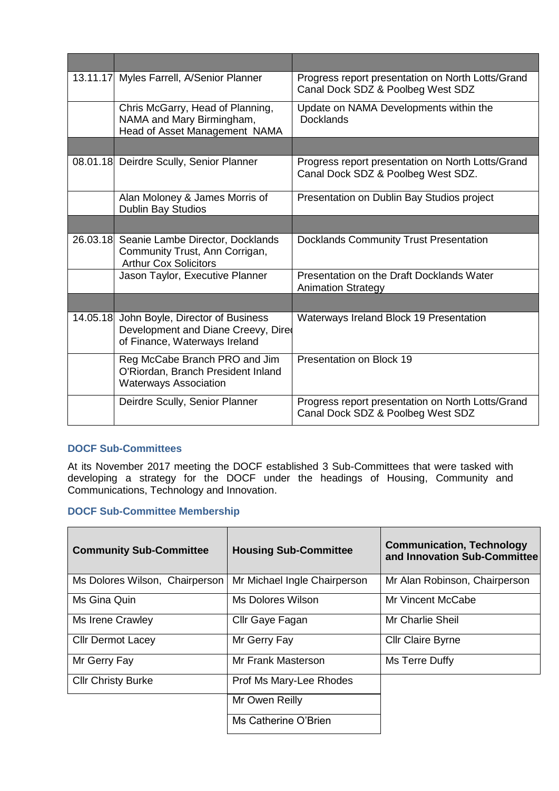| 13.11.17 Myles Farrell, A/Senior Planner                                                                          | Progress report presentation on North Lotts/Grand<br>Canal Dock SDZ & Poolbeg West SDZ  |
|-------------------------------------------------------------------------------------------------------------------|-----------------------------------------------------------------------------------------|
| Chris McGarry, Head of Planning,<br>NAMA and Mary Birmingham,<br>Head of Asset Management NAMA                    | Update on NAMA Developments within the<br><b>Docklands</b>                              |
|                                                                                                                   |                                                                                         |
| 08.01.18 Deirdre Scully, Senior Planner                                                                           | Progress report presentation on North Lotts/Grand<br>Canal Dock SDZ & Poolbeg West SDZ. |
| Alan Moloney & James Morris of<br><b>Dublin Bay Studios</b>                                                       | Presentation on Dublin Bay Studios project                                              |
|                                                                                                                   |                                                                                         |
| 26.03.18 Seanie Lambe Director, Docklands<br>Community Trust, Ann Corrigan,<br><b>Arthur Cox Solicitors</b>       | <b>Docklands Community Trust Presentation</b>                                           |
| Jason Taylor, Executive Planner                                                                                   | Presentation on the Draft Docklands Water<br><b>Animation Strategy</b>                  |
|                                                                                                                   |                                                                                         |
| 14.05.18 John Boyle, Director of Business<br>Development and Diane Creevy, Dired<br>of Finance, Waterways Ireland | Waterways Ireland Block 19 Presentation                                                 |
| Reg McCabe Branch PRO and Jim<br>O'Riordan, Branch President Inland<br><b>Waterways Association</b>               | <b>Presentation on Block 19</b>                                                         |
| Deirdre Scully, Senior Planner                                                                                    | Progress report presentation on North Lotts/Grand<br>Canal Dock SDZ & Poolbeg West SDZ  |

# **DOCF Sub-Committees**

At its November 2017 meeting the DOCF established 3 Sub-Committees that were tasked with developing a strategy for the DOCF under the headings of Housing, Community and Communications, Technology and Innovation.

# **DOCF Sub-Committee Membership**

| <b>Community Sub-Committee</b> | <b>Housing Sub-Committee</b> | <b>Communication, Technology</b><br>and Innovation Sub-Committee |
|--------------------------------|------------------------------|------------------------------------------------------------------|
| Ms Dolores Wilson, Chairperson | Mr Michael Ingle Chairperson | Mr Alan Robinson, Chairperson                                    |
| Ms Gina Quin                   | Ms Dolores Wilson            | <b>Mr Vincent McCabe</b>                                         |
| Ms Irene Crawley               | Cllr Gaye Fagan              | Mr Charlie Sheil                                                 |
| <b>CIIr Dermot Lacey</b>       | Mr Gerry Fay                 | <b>Cllr Claire Byrne</b>                                         |
| Mr Gerry Fay                   | Mr Frank Masterson           | Ms Terre Duffy                                                   |
| <b>CIIr Christy Burke</b>      | Prof Ms Mary-Lee Rhodes      |                                                                  |
|                                | Mr Owen Reilly               |                                                                  |
|                                | Ms Catherine O'Brien         |                                                                  |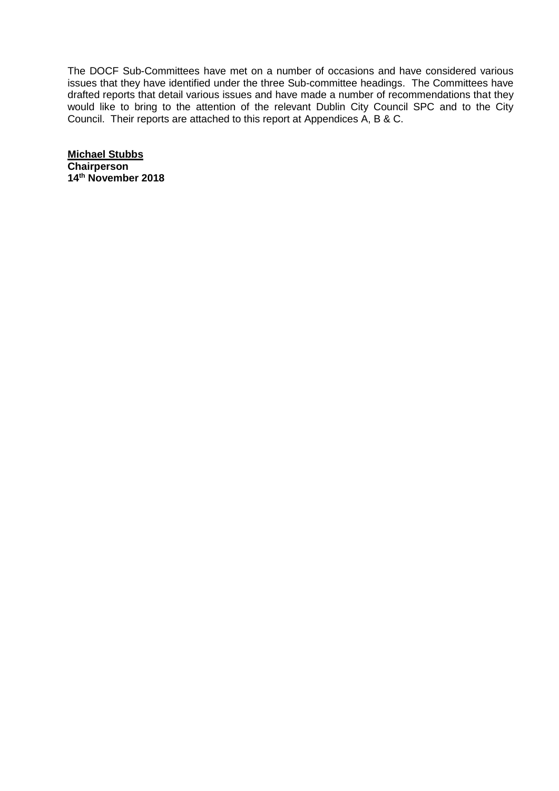The DOCF Sub-Committees have met on a number of occasions and have considered various issues that they have identified under the three Sub-committee headings. The Committees have drafted reports that detail various issues and have made a number of recommendations that they would like to bring to the attention of the relevant Dublin City Council SPC and to the City Council. Their reports are attached to this report at Appendices A, B & C.

**Michael Stubbs Chairperson 14 th November 2018**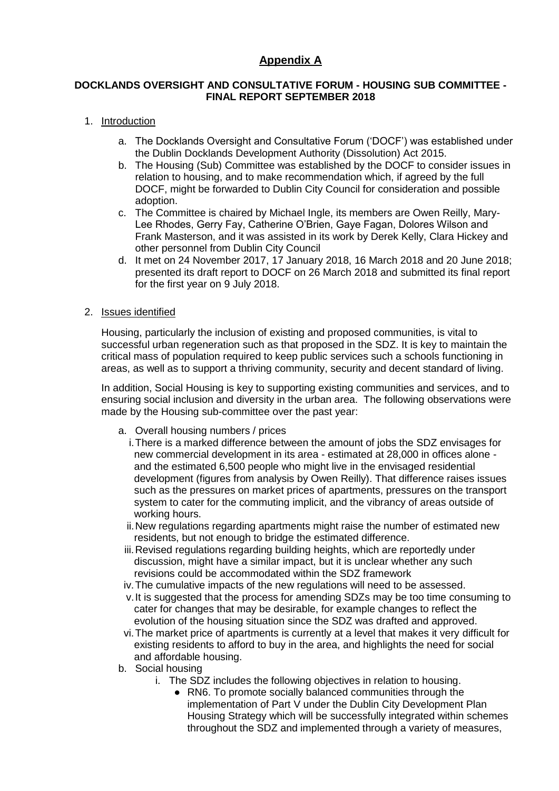# **Appendix A**

# **DOCKLANDS OVERSIGHT AND CONSULTATIVE FORUM - HOUSING SUB COMMITTEE - FINAL REPORT SEPTEMBER 2018**

# 1. Introduction

- a. The Docklands Oversight and Consultative Forum ('DOCF') was established under the Dublin Docklands Development Authority (Dissolution) Act 2015.
- b. The Housing (Sub) Committee was established by the DOCF to consider issues in relation to housing, and to make recommendation which, if agreed by the full DOCF, might be forwarded to Dublin City Council for consideration and possible adoption.
- c. The Committee is chaired by Michael Ingle, its members are Owen Reilly, Mary-Lee Rhodes, Gerry Fay, Catherine O'Brien, Gaye Fagan, Dolores Wilson and Frank Masterson, and it was assisted in its work by Derek Kelly, Clara Hickey and other personnel from Dublin City Council
- d. It met on 24 November 2017, 17 January 2018, 16 March 2018 and 20 June 2018; presented its draft report to DOCF on 26 March 2018 and submitted its final report for the first year on 9 July 2018.

## 2. Issues identified

Housing, particularly the inclusion of existing and proposed communities, is vital to successful urban regeneration such as that proposed in the SDZ. It is key to maintain the critical mass of population required to keep public services such a schools functioning in areas, as well as to support a thriving community, security and decent standard of living.

In addition, Social Housing is key to supporting existing communities and services, and to ensuring social inclusion and diversity in the urban area. The following observations were made by the Housing sub-committee over the past year:

- a. Overall housing numbers / prices
	- i.There is a marked difference between the amount of jobs the SDZ envisages for new commercial development in its area - estimated at 28,000 in offices alone and the estimated 6,500 people who might live in the envisaged residential development (figures from analysis by Owen Reilly). That difference raises issues such as the pressures on market prices of apartments, pressures on the transport system to cater for the commuting implicit, and the vibrancy of areas outside of working hours.
	- ii.New regulations regarding apartments might raise the number of estimated new residents, but not enough to bridge the estimated difference.
	- iii.Revised regulations regarding building heights, which are reportedly under discussion, might have a similar impact, but it is unclear whether any such revisions could be accommodated within the SDZ framework
- iv.The cumulative impacts of the new regulations will need to be assessed.
- v.It is suggested that the process for amending SDZs may be too time consuming to cater for changes that may be desirable, for example changes to reflect the evolution of the housing situation since the SDZ was drafted and approved.
- vi.The market price of apartments is currently at a level that makes it very difficult for existing residents to afford to buy in the area, and highlights the need for social and affordable housing.
- b. Social housing
	- i. The SDZ includes the following objectives in relation to housing.
		- RN6. To promote socially balanced communities through the implementation of Part V under the Dublin City Development Plan Housing Strategy which will be successfully integrated within schemes throughout the SDZ and implemented through a variety of measures,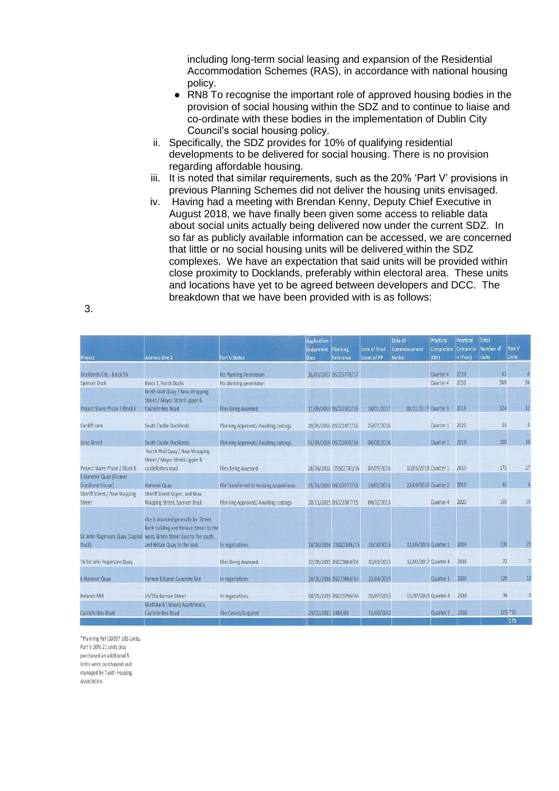including long-term social leasing and expansion of the Residential Accommodation Schemes (RAS), in accordance with national housing policy.

- RN8 To recognise the important role of approved housing bodies in the provision of social housing within the SDZ and to continue to liaise and co-ordinate with these bodies in the implementation of Dublin City Council's social housing policy.
- ii. Specifically, the SDZ provides for 10% of qualifying residential developments to be delivered for social housing. There is no provision regarding affordable housing.
- iii. It is noted that similar requirements, such as the 20% 'Part V' provisions in previous Planning Schemes did not deliver the housing units envisaged.
- iv. Having had a meeting with Brendan Kenny, Deputy Chief Executive in August 2018, we have finally been given some access to reliable data about social units actually being delivered now under the current SDZ. In so far as publicly available information can be accessed, we are concerned that little or no social housing units will be delivered within the SDZ complexes. We have an expectation that said units will be provided within close proximity to Docklands, preferably within electoral area. These units and locations have yet to be agreed between developers and DCC. The breakdown that we have been provided with is as follows:

| Project                                   | <b>Address Line 2</b>                                                                                                  | <b>Part V Status</b>                     | <b>Application</b><br>Lodgement<br><b>Date</b> | Planning<br>Reference  | Date of Final<br><b>Grant of PP</b> | Date of<br>Commencement<br><b>Notice</b> | Practical<br>Completion<br>(Qtr) | Practical<br><b>Completio</b><br>n (Year) | Total<br>Number of<br><b>Units</b> | Part V<br><b>Units</b> |    |
|-------------------------------------------|------------------------------------------------------------------------------------------------------------------------|------------------------------------------|------------------------------------------------|------------------------|-------------------------------------|------------------------------------------|----------------------------------|-------------------------------------------|------------------------------------|------------------------|----|
| Docklands City - Block 9A                 |                                                                                                                        | No Planning Permission                   |                                                | 26/09/2017 DSDZ3779/17 |                                     |                                          | Quarter 4                        | 2020                                      | 42                                 |                        |    |
| Spencer Dock                              | Block 3, North Docks                                                                                                   | No planning permission                   |                                                |                        |                                     |                                          | Quarter 4                        | 2020                                      | 360                                |                        | 36 |
|                                           | North Wall Quay / New Wrapping<br>Street / Mayor Street Upper &                                                        |                                          |                                                |                        |                                     |                                          |                                  |                                           |                                    |                        |    |
| Project Wave Phase 3 Block E              | <b>Castleforbes Road</b>                                                                                               | <b>Files Being Assessed</b>              |                                                | 17/08/2016 DSDZ3552/16 | 18/01/2017                          | 01/11/2017 Quarter 3                     |                                  | 2019                                      | 124                                |                        | 12 |
| Cardiff Lane                              | South Dublin Docklands                                                                                                 | Planning Approved/ Awaiting costings     |                                                | 29/06/2016 DSDZ2457/16 | 26/07/2016                          |                                          | Quarter 1                        | 2020                                      | 56                                 |                        | Ą  |
| <b>Lime Street</b>                        | South Dublin Docklands                                                                                                 | Planning Approved/ Awaiting costings     |                                                | 04/04/2016 DSDZ2608/16 | 08/08/2016                          |                                          | Quarter 1                        | 2019                                      | 100                                |                        | 10 |
|                                           | North Wall Quay / New Wrapping<br>Street / Mayor Street Upper &                                                        |                                          |                                                |                        |                                     |                                          |                                  |                                           |                                    |                        |    |
| Project Wave Phase 2 Block B              | castleforbes road                                                                                                      | <b>Files Being Assessed</b>              |                                                | 26/04/2016 DSDZ2749/16 | 07/09/2016                          | 10/05/2018 Quarter 1                     |                                  | 2019                                      | 170                                |                        | Ŧ  |
| 8 Hanover Quay (Former<br>Durabond House) | <b>Hanover Quay</b>                                                                                                    | File Transferred to Housing Acquisitions |                                                | 25/01/2016 DSDZ3777/15 | 19/02/2016                          | 22/09/2016 Quarter 2                     |                                  | 2018                                      | 40                                 |                        | ý  |
| Sheriff Street / New Wapping<br>Street    | Sheriff Street Upper, and New<br>Wapping Street, Spencer Dock                                                          | Planning Approved/ Awaiting costings     |                                                | 20/11/2015 DSDZ3367/15 | 04/12/2015                          |                                          | Quarter 4                        | 2020                                      | 165                                |                        | 16 |
| Sir John Rogersons Quay (Capital          | site is bounded generally by Street<br>Bank building and Benson Street to the<br>west, Green Street East to the south, |                                          |                                                |                        |                                     |                                          |                                  |                                           |                                    |                        |    |
| Dock)                                     | and Britain Quay to the east.                                                                                          | In negotiations                          |                                                | 14/04/2016 DSDZ2546/15 | 19/10/2015                          | 11/05/2016 Quarter 1                     |                                  | 2019                                      | 190                                |                        | 1  |
| 76 Sir John Rogersons Quay                |                                                                                                                        | <b>Files Being Assessed</b>              |                                                | 12/08/2015 DSDZ3864/14 | 20/03/2015                          | 12/02/2017 Quarter 4                     |                                  | 2018                                      | 72                                 |                        |    |
| 6 Hanover Quay                            | Former Kilsaran Concrete Site                                                                                          | In negotiations                          |                                                | 24/06/2016 DSDZ3866/14 | 22/04/2015                          |                                          | Quarter 1                        | 2020                                      | 120                                |                        |    |
| <b>Bolands Mill</b>                       | 35/35a Barrow Street                                                                                                   | In negotiations                          |                                                | 08/05/2015 DSDZ3796/14 | 01/07/2015                          | 01/07/2016 Quarter 4                     |                                  | 2018                                      | 36                                 |                        |    |
| Castleforbes Road                         | Northbank (House) Apartments,<br>Castleforbes Road                                                                     | <b>File Closed/Acquired</b>              | 25/02/2011 3384/09                             |                        | 11/03/2011                          |                                          | Quarter 2                        | 2018                                      |                                    | 105 * 26<br>171        |    |

\*Planning Ref DD397 105 Units, Part V 20% 21 units plus purchased an additional 5. Units were purchasesd and managed by Tuath Housing Association.

3.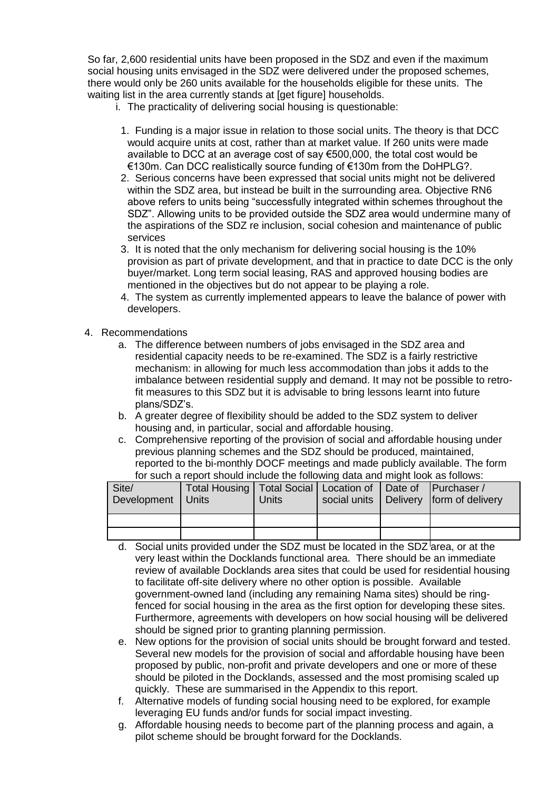So far, 2,600 residential units have been proposed in the SDZ and even if the maximum social housing units envisaged in the SDZ were delivered under the proposed schemes, there would only be 260 units available for the households eligible for these units. The waiting list in the area currently stands at [get figure] households.

- i. The practicality of delivering social housing is questionable:
	- 1. Funding is a major issue in relation to those social units. The theory is that DCC would acquire units at cost, rather than at market value. If 260 units were made available to DCC at an average cost of say €500,000, the total cost would be €130m. Can DCC realistically source funding of €130m from the DoHPLG?.
- 2. Serious concerns have been expressed that social units might not be delivered within the SDZ area, but instead be built in the surrounding area. Objective RN6 above refers to units being "successfully integrated within schemes throughout the SDZ". Allowing units to be provided outside the SDZ area would undermine many of the aspirations of the SDZ re inclusion, social cohesion and maintenance of public services
- 3. It is noted that the only mechanism for delivering social housing is the 10% provision as part of private development, and that in practice to date DCC is the only buyer/market. Long term social leasing, RAS and approved housing bodies are mentioned in the objectives but do not appear to be playing a role.
- 4. The system as currently implemented appears to leave the balance of power with developers.
- 4. Recommendations
	- a. The difference between numbers of jobs envisaged in the SDZ area and residential capacity needs to be re-examined. The SDZ is a fairly restrictive mechanism: in allowing for much less accommodation than jobs it adds to the imbalance between residential supply and demand. It may not be possible to retrofit measures to this SDZ but it is advisable to bring lessons learnt into future plans/SDZ's.
	- b. A greater degree of flexibility should be added to the SDZ system to deliver housing and, in particular, social and affordable housing.
	- c. Comprehensive reporting of the provision of social and affordable housing under previous planning schemes and the SDZ should be produced, maintained, reported to the bi-monthly DOCF meetings and made publicly available. The form for such a report should include the following data and might look as follows:

| Site/<br>Development | Total Housing   Total Social   Location of   Date of   Purchaser /<br>I Units | Units |  | social units   Delivery   form of delivery |
|----------------------|-------------------------------------------------------------------------------|-------|--|--------------------------------------------|
|                      |                                                                               |       |  |                                            |
|                      |                                                                               |       |  |                                            |

- d. Social units provided under the SDZ must be located in the SDZ area, or at the very least within the Docklands functional area. There should be an immediate review of available Docklands area sites that could be used for residential housing to facilitate off-site delivery where no other option is possible. Available government-owned land (including any remaining Nama sites) should be ringfenced for social housing in the area as the first option for developing these sites. Furthermore, agreements with developers on how social housing will be delivered should be signed prior to granting planning permission.
- e. New options for the provision of social units should be brought forward and tested. Several new models for the provision of social and affordable housing have been proposed by public, non-profit and private developers and one or more of these should be piloted in the Docklands, assessed and the most promising scaled up quickly. These are summarised in the Appendix to this report.
- f. Alternative models of funding social housing need to be explored, for example leveraging EU funds and/or funds for social impact investing.
- g. Affordable housing needs to become part of the planning process and again, a pilot scheme should be brought forward for the Docklands.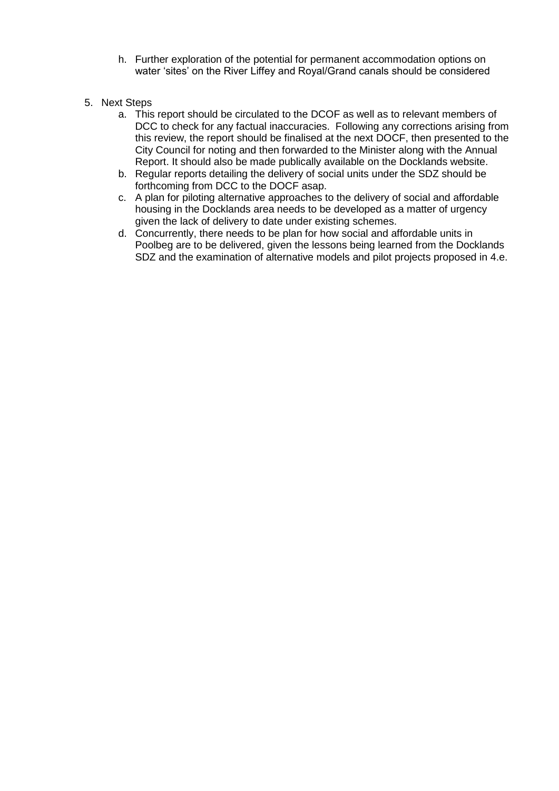- h. Further exploration of the potential for permanent accommodation options on water 'sites' on the River Liffey and Royal/Grand canals should be considered
- 5. Next Steps
	- a. This report should be circulated to the DCOF as well as to relevant members of DCC to check for any factual inaccuracies. Following any corrections arising from this review, the report should be finalised at the next DOCF, then presented to the City Council for noting and then forwarded to the Minister along with the Annual Report. It should also be made publically available on the Docklands website.
	- b. Regular reports detailing the delivery of social units under the SDZ should be forthcoming from DCC to the DOCF asap.
	- c. A plan for piloting alternative approaches to the delivery of social and affordable housing in the Docklands area needs to be developed as a matter of urgency given the lack of delivery to date under existing schemes.
	- d. Concurrently, there needs to be plan for how social and affordable units in Poolbeg are to be delivered, given the lessons being learned from the Docklands SDZ and the examination of alternative models and pilot projects proposed in 4.e.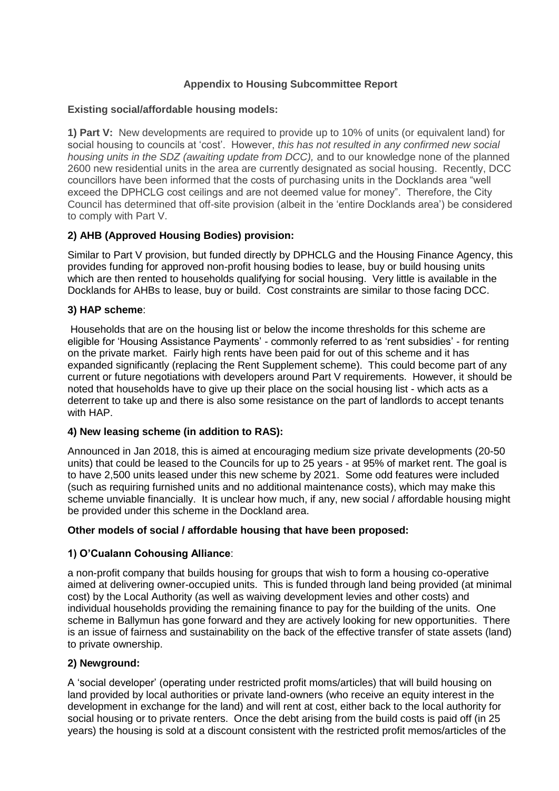# **Appendix to Housing Subcommittee Report**

# **Existing social/affordable housing models:**

**1) Part V:** New developments are required to provide up to 10% of units (or equivalent land) for social housing to councils at 'cost'. However, *this has not resulted in any confirmed new social housing units in the SDZ (awaiting update from DCC),* and to our knowledge none of the planned 2600 new residential units in the area are currently designated as social housing. Recently, DCC councillors have been informed that the costs of purchasing units in the Docklands area "well exceed the DPHCLG cost ceilings and are not deemed value for money". Therefore, the City Council has determined that off-site provision (albeit in the 'entire Docklands area') be considered to comply with Part V.

# **2) AHB (Approved Housing Bodies) provision:**

Similar to Part V provision, but funded directly by DPHCLG and the Housing Finance Agency, this provides funding for approved non-profit housing bodies to lease, buy or build housing units which are then rented to households qualifying for social housing. Very little is available in the Docklands for AHBs to lease, buy or build. Cost constraints are similar to those facing DCC.

## **3) HAP scheme**:

Households that are on the housing list or below the income thresholds for this scheme are eligible for 'Housing Assistance Payments' - commonly referred to as 'rent subsidies' - for renting on the private market. Fairly high rents have been paid for out of this scheme and it has expanded significantly (replacing the Rent Supplement scheme). This could become part of any current or future negotiations with developers around Part V requirements. However, it should be noted that households have to give up their place on the social housing list - which acts as a deterrent to take up and there is also some resistance on the part of landlords to accept tenants with HAP.

## **4) New leasing scheme (in addition to RAS):**

Announced in Jan 2018, this is aimed at encouraging medium size private developments (20-50 units) that could be leased to the Councils for up to 25 years - at 95% of market rent. The goal is to have 2,500 units leased under this new scheme by 2021. Some odd features were included (such as requiring furnished units and no additional maintenance costs), which may make this scheme unviable financially. It is unclear how much, if any, new social / affordable housing might be provided under this scheme in the Dockland area.

## **Other models of social / affordable housing that have been proposed:**

## **1) O'Cualann Cohousing Alliance**:

a non-profit company that builds housing for groups that wish to form a housing co-operative aimed at delivering owner-occupied units. This is funded through land being provided (at minimal cost) by the Local Authority (as well as waiving development levies and other costs) and individual households providing the remaining finance to pay for the building of the units. One scheme in Ballymun has gone forward and they are actively looking for new opportunities. There is an issue of fairness and sustainability on the back of the effective transfer of state assets (land) to private ownership.

## **2) Newground:**

A 'social developer' (operating under restricted profit moms/articles) that will build housing on land provided by local authorities or private land-owners (who receive an equity interest in the development in exchange for the land) and will rent at cost, either back to the local authority for social housing or to private renters. Once the debt arising from the build costs is paid off (in 25 years) the housing is sold at a discount consistent with the restricted profit memos/articles of the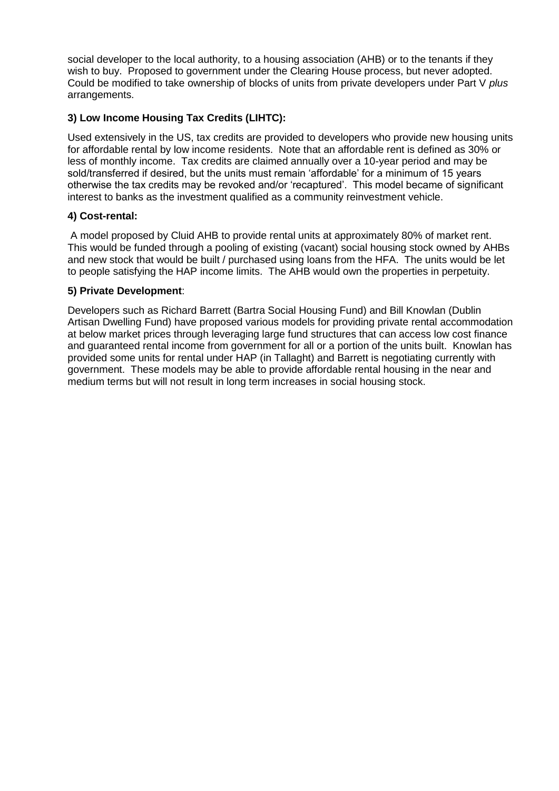social developer to the local authority, to a housing association (AHB) or to the tenants if they wish to buy. Proposed to government under the Clearing House process, but never adopted. Could be modified to take ownership of blocks of units from private developers under Part V *plus* arrangements.

# **3) Low Income Housing Tax Credits (LIHTC):**

Used extensively in the US, tax credits are provided to developers who provide new housing units for affordable rental by low income residents. Note that an affordable rent is defined as 30% or less of monthly income. Tax credits are claimed annually over a 10-year period and may be sold/transferred if desired, but the units must remain 'affordable' for a minimum of 15 years otherwise the tax credits may be revoked and/or 'recaptured'. This model became of significant interest to banks as the investment qualified as a community reinvestment vehicle.

# **4) Cost-rental:**

A model proposed by Cluid AHB to provide rental units at approximately 80% of market rent. This would be funded through a pooling of existing (vacant) social housing stock owned by AHBs and new stock that would be built / purchased using loans from the HFA. The units would be let to people satisfying the HAP income limits. The AHB would own the properties in perpetuity.

# **5) Private Development**:

Developers such as Richard Barrett (Bartra Social Housing Fund) and Bill Knowlan (Dublin Artisan Dwelling Fund) have proposed various models for providing private rental accommodation at below market prices through leveraging large fund structures that can access low cost finance and guaranteed rental income from government for all or a portion of the units built. Knowlan has provided some units for rental under HAP (in Tallaght) and Barrett is negotiating currently with government. These models may be able to provide affordable rental housing in the near and medium terms but will not result in long term increases in social housing stock.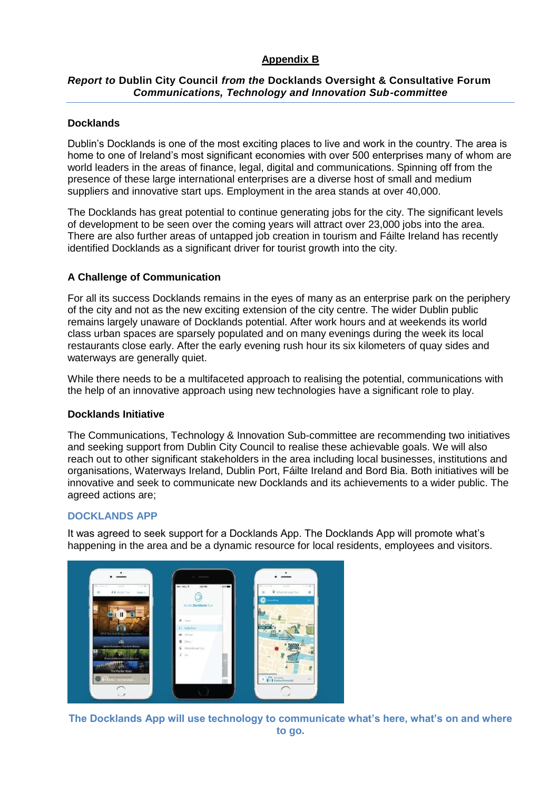# **Appendix B**

# *Report to* **Dublin City Council** *from the* **Docklands Oversight & Consultative Forum** *Communications, Technology and Innovation Sub-committee*

## **Docklands**

Dublin's Docklands is one of the most exciting places to live and work in the country. The area is home to one of Ireland's most significant economies with over 500 enterprises many of whom are world leaders in the areas of finance, legal, digital and communications. Spinning off from the presence of these large international enterprises are a diverse host of small and medium suppliers and innovative start ups. Employment in the area stands at over 40,000.

The Docklands has great potential to continue generating jobs for the city. The significant levels of development to be seen over the coming years will attract over 23,000 jobs into the area. There are also further areas of untapped job creation in tourism and Fáilte Ireland has recently identified Docklands as a significant driver for tourist growth into the city.

#### **A Challenge of Communication**

For all its success Docklands remains in the eyes of many as an enterprise park on the periphery of the city and not as the new exciting extension of the city centre. The wider Dublin public remains largely unaware of Docklands potential. After work hours and at weekends its world class urban spaces are sparsely populated and on many evenings during the week its local restaurants close early. After the early evening rush hour its six kilometers of quay sides and waterways are generally quiet.

While there needs to be a multifaceted approach to realising the potential, communications with the help of an innovative approach using new technologies have a significant role to play.

#### **Docklands Initiative**

The Communications, Technology & Innovation Sub-committee are recommending two initiatives and seeking support from Dublin City Council to realise these achievable goals. We will also reach out to other significant stakeholders in the area including local businesses, institutions and organisations, Waterways Ireland, Dublin Port, Fáilte Ireland and Bord Bia. Both initiatives will be innovative and seek to communicate new Docklands and its achievements to a wider public. The agreed actions are;

## **DOCKLANDS APP**

It was agreed to seek support for a Docklands App. The Docklands App will promote what's happening in the area and be a dynamic resource for local residents, employees and visitors.



**The Docklands App will use technology to communicate what's here, what's on and where to go.**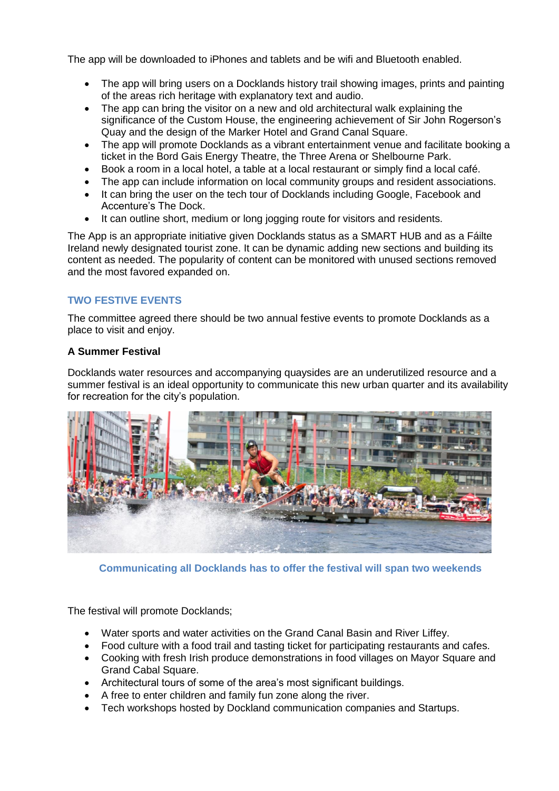The app will be downloaded to iPhones and tablets and be wifi and Bluetooth enabled.

- The app will bring users on a Docklands history trail showing images, prints and painting of the areas rich heritage with explanatory text and audio.
- The app can bring the visitor on a new and old architectural walk explaining the significance of the Custom House, the engineering achievement of Sir John Rogerson's Quay and the design of the Marker Hotel and Grand Canal Square.
- The app will promote Docklands as a vibrant entertainment venue and facilitate booking a ticket in the Bord Gais Energy Theatre, the Three Arena or Shelbourne Park.
- Book a room in a local hotel, a table at a local restaurant or simply find a local café.
- The app can include information on local community groups and resident associations.
- It can bring the user on the tech tour of Docklands including Google, Facebook and Accenture's The Dock.
- It can outline short, medium or long jogging route for visitors and residents.

The App is an appropriate initiative given Docklands status as a SMART HUB and as a Fáilte Ireland newly designated tourist zone. It can be dynamic adding new sections and building its content as needed. The popularity of content can be monitored with unused sections removed and the most favored expanded on.

# **TWO FESTIVE EVENTS**

The committee agreed there should be two annual festive events to promote Docklands as a place to visit and enjoy.

# **A Summer Festival**

Docklands water resources and accompanying quaysides are an underutilized resource and a summer festival is an ideal opportunity to communicate this new urban quarter and its availability for recreation for the city's population.



**Communicating all Docklands has to offer the festival will span two weekends**

The festival will promote Docklands;

- Water sports and water activities on the Grand Canal Basin and River Liffey.
- Food culture with a food trail and tasting ticket for participating restaurants and cafes.
- Cooking with fresh Irish produce demonstrations in food villages on Mayor Square and Grand Cabal Square.
- Architectural tours of some of the area's most significant buildings.
- A free to enter children and family fun zone along the river.
- Tech workshops hosted by Dockland communication companies and Startups.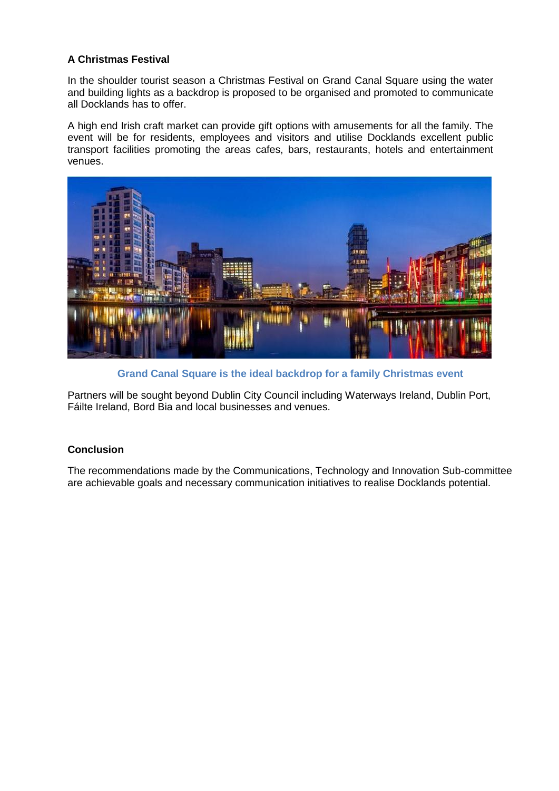# **A Christmas Festival**

In the shoulder tourist season a Christmas Festival on Grand Canal Square using the water and building lights as a backdrop is proposed to be organised and promoted to communicate all Docklands has to offer.

A high end Irish craft market can provide gift options with amusements for all the family. The event will be for residents, employees and visitors and utilise Docklands excellent public transport facilities promoting the areas cafes, bars, restaurants, hotels and entertainment venues.



**Grand Canal Square is the ideal backdrop for a family Christmas event**

Partners will be sought beyond Dublin City Council including Waterways Ireland, Dublin Port, Fáilte Ireland, Bord Bia and local businesses and venues.

# **Conclusion**

The recommendations made by the Communications, Technology and Innovation Sub-committee are achievable goals and necessary communication initiatives to realise Docklands potential.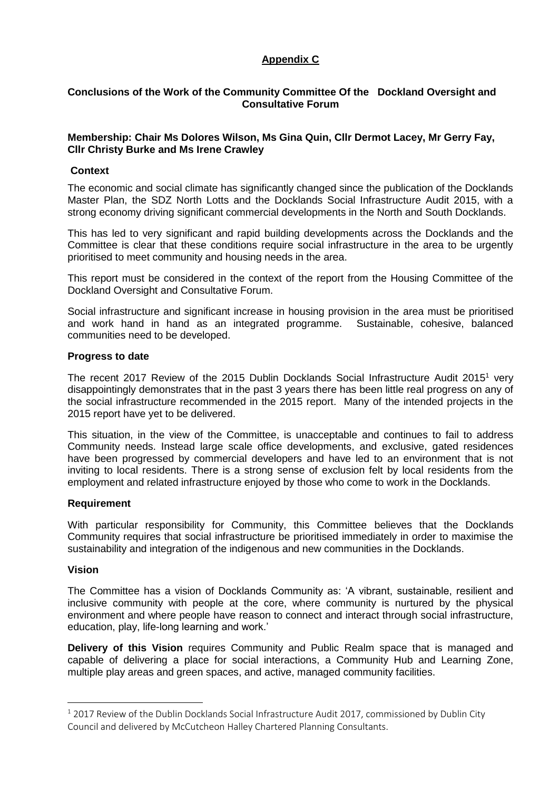# **Appendix C**

## **Conclusions of the Work of the Community Committee Of the Dockland Oversight and Consultative Forum**

## **Membership: Chair Ms Dolores Wilson, Ms Gina Quin, Cllr Dermot Lacey, Mr Gerry Fay, Cllr Christy Burke and Ms Irene Crawley**

#### **Context**

The economic and social climate has significantly changed since the publication of the Docklands Master Plan, the SDZ North Lotts and the Docklands Social Infrastructure Audit 2015, with a strong economy driving significant commercial developments in the North and South Docklands.

This has led to very significant and rapid building developments across the Docklands and the Committee is clear that these conditions require social infrastructure in the area to be urgently prioritised to meet community and housing needs in the area.

This report must be considered in the context of the report from the Housing Committee of the Dockland Oversight and Consultative Forum.

Social infrastructure and significant increase in housing provision in the area must be prioritised and work hand in hand as an integrated programme. Sustainable, cohesive, balanced communities need to be developed.

#### **Progress to date**

The recent 2017 Review of the 2015 Dublin Docklands Social Infrastructure Audit 2015<sup>1</sup> very disappointingly demonstrates that in the past 3 years there has been little real progress on any of the social infrastructure recommended in the 2015 report. Many of the intended projects in the 2015 report have yet to be delivered.

This situation, in the view of the Committee, is unacceptable and continues to fail to address Community needs. Instead large scale office developments, and exclusive, gated residences have been progressed by commercial developers and have led to an environment that is not inviting to local residents. There is a strong sense of exclusion felt by local residents from the employment and related infrastructure enjoyed by those who come to work in the Docklands.

## **Requirement**

With particular responsibility for Community, this Committee believes that the Docklands Community requires that social infrastructure be prioritised immediately in order to maximise the sustainability and integration of the indigenous and new communities in the Docklands.

#### **Vision**

1

The Committee has a vision of Docklands Community as: 'A vibrant, sustainable, resilient and inclusive community with people at the core, where community is nurtured by the physical environment and where people have reason to connect and interact through social infrastructure, education, play, life-long learning and work.'

**Delivery of this Vision** requires Community and Public Realm space that is managed and capable of delivering a place for social interactions, a Community Hub and Learning Zone, multiple play areas and green spaces, and active, managed community facilities.

 $1$  2017 Review of the Dublin Docklands Social Infrastructure Audit 2017, commissioned by Dublin City Council and delivered by McCutcheon Halley Chartered Planning Consultants.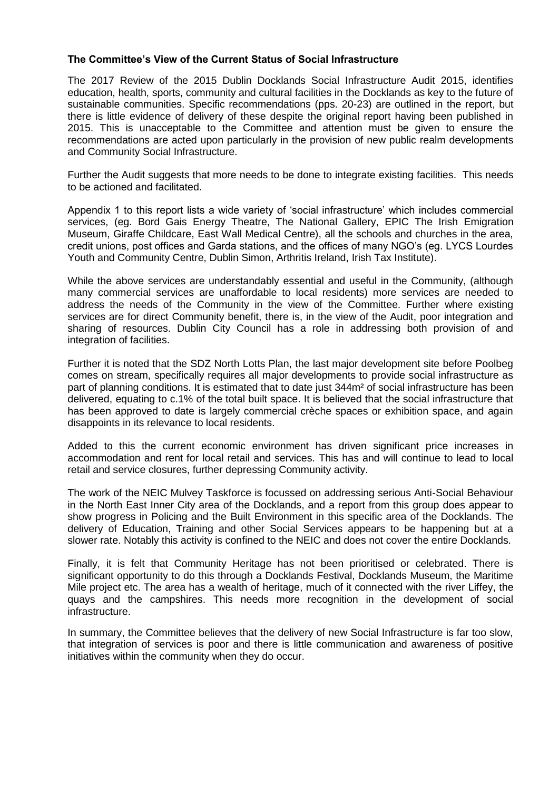#### **The Committee's View of the Current Status of Social Infrastructure**

The 2017 Review of the 2015 Dublin Docklands Social Infrastructure Audit 2015, identifies education, health, sports, community and cultural facilities in the Docklands as key to the future of sustainable communities. Specific recommendations (pps. 20-23) are outlined in the report, but there is little evidence of delivery of these despite the original report having been published in 2015. This is unacceptable to the Committee and attention must be given to ensure the recommendations are acted upon particularly in the provision of new public realm developments and Community Social Infrastructure.

Further the Audit suggests that more needs to be done to integrate existing facilities. This needs to be actioned and facilitated.

Appendix 1 to this report lists a wide variety of 'social infrastructure' which includes commercial services, (eg. Bord Gais Energy Theatre, The National Gallery, EPIC The Irish Emigration Museum, Giraffe Childcare, East Wall Medical Centre), all the schools and churches in the area, credit unions, post offices and Garda stations, and the offices of many NGO's (eg. LYCS Lourdes Youth and Community Centre, Dublin Simon, Arthritis Ireland, Irish Tax Institute).

While the above services are understandably essential and useful in the Community, (although many commercial services are unaffordable to local residents) more services are needed to address the needs of the Community in the view of the Committee. Further where existing services are for direct Community benefit, there is, in the view of the Audit, poor integration and sharing of resources. Dublin City Council has a role in addressing both provision of and integration of facilities.

Further it is noted that the SDZ North Lotts Plan, the last major development site before Poolbeg comes on stream, specifically requires all major developments to provide social infrastructure as part of planning conditions. It is estimated that to date just 344m<sup>2</sup> of social infrastructure has been delivered, equating to c.1% of the total built space. It is believed that the social infrastructure that has been approved to date is largely commercial crèche spaces or exhibition space, and again disappoints in its relevance to local residents.

Added to this the current economic environment has driven significant price increases in accommodation and rent for local retail and services. This has and will continue to lead to local retail and service closures, further depressing Community activity.

The work of the NEIC Mulvey Taskforce is focussed on addressing serious Anti-Social Behaviour in the North East Inner City area of the Docklands, and a report from this group does appear to show progress in Policing and the Built Environment in this specific area of the Docklands. The delivery of Education, Training and other Social Services appears to be happening but at a slower rate. Notably this activity is confined to the NEIC and does not cover the entire Docklands.

Finally, it is felt that Community Heritage has not been prioritised or celebrated. There is significant opportunity to do this through a Docklands Festival, Docklands Museum, the Maritime Mile project etc. The area has a wealth of heritage, much of it connected with the river Liffey, the quays and the campshires. This needs more recognition in the development of social infrastructure.

In summary, the Committee believes that the delivery of new Social Infrastructure is far too slow, that integration of services is poor and there is little communication and awareness of positive initiatives within the community when they do occur.